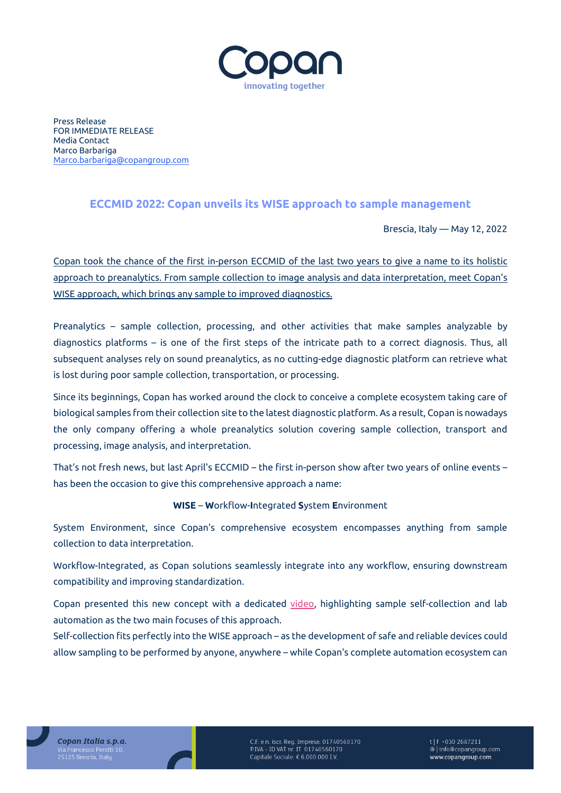

Press Release FOR IMMEDIATE RELEASE Media Contact Marco Barbariga [Marco.barbariga@copangroup.com](mailto:Marco.barbariga@copangroup.com)

## **ECCMID 2022: Copan unveils its WISE approach to sample management**

Brescia, Italy — May 12, 2022

Copan took the chance of the first in-person ECCMID of the last two years to give a name to its holistic approach to preanalytics. From sample collection to image analysis and data interpretation, meet Copan's WISE approach, which brings any sample to improved diagnostics.

Preanalytics – sample collection, processing, and other activities that make samples analyzable by diagnostics platforms – is one of the first steps of the intricate path to a correct diagnosis. Thus, all subsequent analyses rely on sound preanalytics, as no cutting-edge diagnostic platform can retrieve what is lost during poor sample collection, transportation, or processing.

Since its beginnings, Copan has worked around the clock to conceive a complete ecosystem taking care of biological samples from their collection site to the latest diagnostic platform. As a result, Copan is nowadays the only company offering a whole preanalytics solution covering sample collection, transport and processing, image analysis, and interpretation.

That's not fresh news, but last April's ECCMID – the first in-person show after two years of online events – has been the occasion to give this comprehensive approach a name:

## **WISE** – **W**orkflow-**I**ntegrated **S**ystem **E**nvironment

System Environment, since Copan's comprehensive ecosystem encompasses anything from sample collection to data interpretation.

Workflow-Integrated, as Copan solutions seamlessly integrate into any workflow, ensuring downstream compatibility and improving standardization.

Copan presented this new concept with a dedicated [video,](https://bit.ly/3Fiv6MK) highlighting sample self-collection and lab automation as the two main focuses of this approach.

Self-collection fits perfectly into the WISE approach – as the development of safe and reliable devices could allow sampling to be performed by anyone, anywhere – while Copan's complete automation ecosystem can



C.F. e n. iscr. Reg. Imprese: 01740560170<br>P.IVA - ID VAT nr. IT 01740560170 Capitale Sociale: € 6.000.000 I.V.